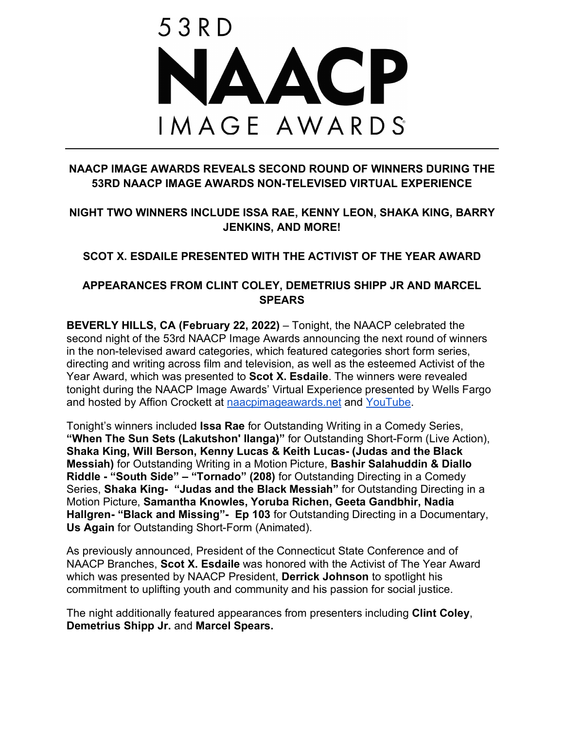

### **NAACP IMAGE AWARDS REVEALS SECOND ROUND OF WINNERS DURING THE 53RD NAACP IMAGE AWARDS NON-TELEVISED VIRTUAL EXPERIENCE**

### **NIGHT TWO WINNERS INCLUDE ISSA RAE, KENNY LEON, SHAKA KING, BARRY JENKINS, AND MORE!**

### **SCOT X. ESDAILE PRESENTED WITH THE ACTIVIST OF THE YEAR AWARD**

### **APPEARANCES FROM CLINT COLEY, DEMETRIUS SHIPP JR AND MARCEL SPEARS**

**BEVERLY HILLS, CA (February 22, 2022)** – Tonight, the NAACP celebrated the second night of the 53rd NAACP Image Awards announcing the next round of winners in the non-televised award categories, which featured categories short form series, directing and writing across film and television, as well as the esteemed Activist of the Year Award, which was presented to **Scot X. Esdaile**. The winners were revealed tonight during the NAACP Image Awards' Virtual Experience presented by Wells Fargo and hosted by Affion Crockett at naacpimageawards.net and YouTube.

Tonight's winners included **Issa Rae** for Outstanding Writing in a Comedy Series, **"When The Sun Sets (Lakutshon' Ilanga)"** for Outstanding Short-Form (Live Action), **Shaka King, Will Berson, Kenny Lucas & Keith Lucas- (Judas and the Black Messiah)** for Outstanding Writing in a Motion Picture, **Bashir Salahuddin & Diallo Riddle - "South Side" – "Tornado" (208)** for Outstanding Directing in a Comedy Series, **Shaka King- "Judas and the Black Messiah"** for Outstanding Directing in a Motion Picture, **Samantha Knowles, Yoruba Richen, Geeta Gandbhir, Nadia Hallgren- "Black and Missing"- Ep 103** for Outstanding Directing in a Documentary, **Us Again** for Outstanding Short-Form (Animated).

As previously announced, President of the Connecticut State Conference and of NAACP Branches, **Scot X. Esdaile** was honored with the Activist of The Year Award which was presented by NAACP President, **Derrick Johnson** to spotlight his commitment to uplifting youth and community and his passion for social justice.

The night additionally featured appearances from presenters including **Clint Coley**, **Demetrius Shipp Jr.** and **Marcel Spears.**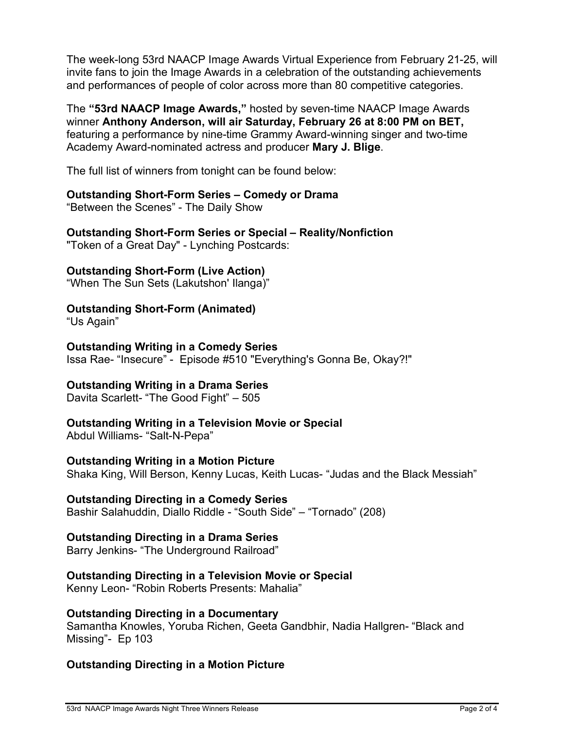The week-long 53rd NAACP Image Awards Virtual Experience from February 21-25, will invite fans to join the Image Awards in a celebration of the outstanding achievements and performances of people of color across more than 80 competitive categories.

The **"53rd NAACP Image Awards,"** hosted by seven-time NAACP Image Awards winner **Anthony Anderson, will air Saturday, February 26 at 8:00 PM on BET,**  featuring a performance by nine-time Grammy Award-winning singer and two-time Academy Award-nominated actress and producer **Mary J. Blige**.

The full list of winners from tonight can be found below:

### **Outstanding Short-Form Series – Comedy or Drama**

"Between the Scenes" - The Daily Show

# **Outstanding Short-Form Series or Special – Reality/Nonfiction**

"Token of a Great Day" - Lynching Postcards:

### **Outstanding Short-Form (Live Action)**

"When The Sun Sets (Lakutshon' Ilanga)"

### **Outstanding Short-Form (Animated)**

"Us Again"

#### **Outstanding Writing in a Comedy Series** Issa Rae- "Insecure" - Episode #510 "Everything's Gonna Be, Okay?!"

### **Outstanding Writing in a Drama Series**

Davita Scarlett- "The Good Fight" – 505

## **Outstanding Writing in a Television Movie or Special**

Abdul Williams- "Salt-N-Pepa"

### **Outstanding Writing in a Motion Picture**

Shaka King, Will Berson, Kenny Lucas, Keith Lucas- "Judas and the Black Messiah"

### **Outstanding Directing in a Comedy Series**

Bashir Salahuddin, Diallo Riddle - "South Side" – "Tornado" (208)

### **Outstanding Directing in a Drama Series**

Barry Jenkins- "The Underground Railroad"

## **Outstanding Directing in a Television Movie or Special**

Kenny Leon- "Robin Roberts Presents: Mahalia"

### **Outstanding Directing in a Documentary**

Samantha Knowles, Yoruba Richen, Geeta Gandbhir, Nadia Hallgren- "Black and Missing"- Ep 103

## **Outstanding Directing in a Motion Picture**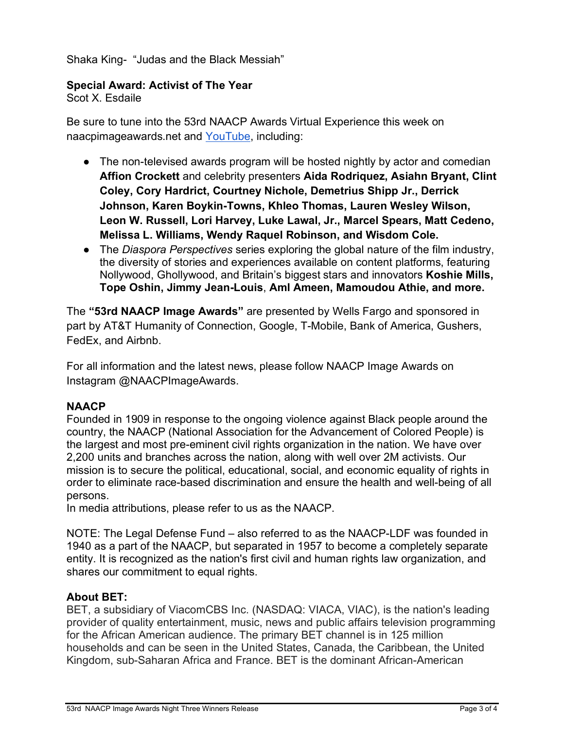Shaka King- "Judas and the Black Messiah"

#### **Special Award: Activist of The Year**

Scot X. Esdaile

Be sure to tune into the 53rd NAACP Awards Virtual Experience this week on naacpimageawards.net and YouTube, including:

- The non-televised awards program will be hosted nightly by actor and comedian **Affion Crockett** and celebrity presenters **Aida Rodriquez, Asiahn Bryant, Clint Coley, Cory Hardrict, Courtney Nichole, Demetrius Shipp Jr., Derrick Johnson, Karen Boykin-Towns, Khleo Thomas, Lauren Wesley Wilson, Leon W. Russell, Lori Harvey, Luke Lawal, Jr., Marcel Spears, Matt Cedeno, Melissa L. Williams, Wendy Raquel Robinson, and Wisdom Cole.**
- The *Diaspora Perspectives* series exploring the global nature of the film industry, the diversity of stories and experiences available on content platforms, featuring Nollywood, Ghollywood, and Britain's biggest stars and innovators **Koshie Mills, Tope Oshin, Jimmy Jean-Louis**, **Aml Ameen, Mamoudou Athie, and more.**

The **"53rd NAACP Image Awards"** are presented by Wells Fargo and sponsored in part by AT&T Humanity of Connection, Google, T-Mobile, Bank of America, Gushers, FedEx, and Airbnb.

For all information and the latest news, please follow NAACP Image Awards on Instagram @NAACPImageAwards.

### **NAACP**

Founded in 1909 in response to the ongoing violence against Black people around the country, the NAACP (National Association for the Advancement of Colored People) is the largest and most pre-eminent civil rights organization in the nation. We have over 2,200 units and branches across the nation, along with well over 2M activists. Our mission is to secure the political, educational, social, and economic equality of rights in order to eliminate race-based discrimination and ensure the health and well-being of all persons.

In media attributions, please refer to us as the NAACP.

NOTE: The Legal Defense Fund – also referred to as the NAACP-LDF was founded in 1940 as a part of the NAACP, but separated in 1957 to become a completely separate entity. It is recognized as the nation's first civil and human rights law organization, and shares our commitment to equal rights.

#### **About BET:**

BET, a subsidiary of ViacomCBS Inc. (NASDAQ: VIACA, VIAC), is the nation's leading provider of quality entertainment, music, news and public affairs television programming for the African American audience. The primary BET channel is in 125 million households and can be seen in the United States, Canada, the Caribbean, the United Kingdom, sub-Saharan Africa and France. BET is the dominant African-American